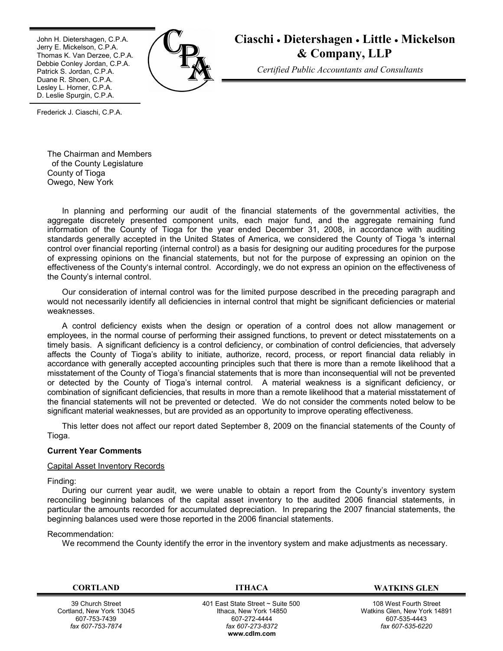John H. Dietershagen, C.P.A. Jerry E. Mickelson, C.P.A. Thomas K. Van Derzee, C.P.A. Debbie Conley Jordan, C.P.A. Patrick S. Jordan, C.P.A. Duane R. Shoen, C.P.A. Lesley L. Horner, C.P.A. D. Leslie Spurgin, C.P.A.



# **Ciaschi** · **Dietershagen** · **Little** · **Mickelson & Company, LLP**

*Certified Public Accountants and Consultants*

Frederick J. Ciaschi, C.P.A.

The Chairman and Members of the County Legislature County of Tioga Owego, New York

In planning and performing our audit of the financial statements of the governmental activities, the aggregate discretely presented component units, each major fund, and the aggregate remaining fund information of the County of Tioga for the year ended December 31, 2008, in accordance with auditing standards generally accepted in the United States of America, we considered the County of Tioga 's internal control over financial reporting (internal control) as a basis for designing our auditing procedures for the purpose of expressing opinions on the financial statements, but not for the purpose of expressing an opinion on the effectiveness of the County's internal control. Accordingly, we do not express an opinion on the effectiveness of the County's internal control.

Our consideration of internal control was for the limited purpose described in the preceding paragraph and would not necessarily identify all deficiencies in internal control that might be significant deficiencies or material weaknesses.

A control deficiency exists when the design or operation of a control does not allow management or employees, in the normal course of performing their assigned functions, to prevent or detect misstatements on a timely basis. A significant deficiency is a control deficiency, or combination of control deficiencies, that adversely affects the County of Tioga's ability to initiate, authorize, record, process, or report financial data reliably in accordance with generally accepted accounting principles such that there is more than a remote likelihood that a misstatement of the County of Tioga's financial statements that is more than inconsequential will not be prevented or detected by the County of Tioga's internal control. A material weakness is a significant deficiency, or combination of significant deficiencies, that results in more than a remote likelihood that a material misstatement of the financial statements will not be prevented or detected. We do not consider the comments noted below to be significant material weaknesses, but are provided as an opportunity to improve operating effectiveness.

This letter does not affect our report dated September 8, 2009 on the financial statements of the County of Tioga.

# **Current Year Comments**

# Capital Asset Inventory Records

Finding:

During our current year audit, we were unable to obtain a report from the County's inventory system reconciling beginning balances of the capital asset inventory to the audited 2006 financial statements, in particular the amounts recorded for accumulated depreciation. In preparing the 2007 financial statements, the beginning balances used were those reported in the 2006 financial statements.

# Recommendation:

We recommend the County identify the error in the inventory system and make adjustments as necessary.

39 Church Street Cortland, New York 13045 607-753-7439 *fax 607-753-7874*

401 East State Street ~ Suite 500 Ithaca, New York 14850 607-272-4444 *fax 607-273-8372* **w[ww.cdlm.com](www.cdlm.com)**

**CORTLAND ITHACA WATKINS GLEN**

108 West Fourth Street Watkins Glen, New York 14891 607-535-4443 *fax 607-535-6220*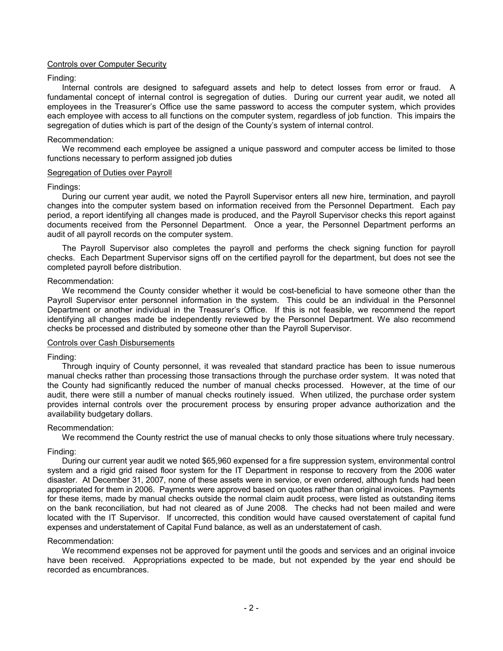# Controls over Computer Security

## Finding:

Internal controls are designed to safeguard assets and help to detect losses from error or fraud. A fundamental concept of internal control is segregation of duties. During our current year audit, we noted all employees in the Treasurer's Office use the same password to access the computer system, which provides each employee with access to all functions on the computer system, regardless of job function. This impairs the segregation of duties which is part of the design of the County's system of internal control.

## Recommendation:

We recommend each employee be assigned a unique password and computer access be limited to those functions necessary to perform assigned job duties

#### Segregation of Duties over Payroll

#### Findings:

During our current year audit, we noted the Payroll Supervisor enters all new hire, termination, and payroll changes into the computer system based on information received from the Personnel Department. Each pay period, a report identifying all changes made is produced, and the Payroll Supervisor checks this report against documents received from the Personnel Department. Once a year, the Personnel Department performs an audit of all payroll records on the computer system.

The Payroll Supervisor also completes the payroll and performs the check signing function for payroll checks. Each Department Supervisor signs off on the certified payroll for the department, but does not see the completed payroll before distribution.

## Recommendation:

We recommend the County consider whether it would be cost-beneficial to have someone other than the Payroll Supervisor enter personnel information in the system. This could be an individual in the Personnel Department or another individual in the Treasurer's Office. If this is not feasible, we recommend the report identifying all changes made be independently reviewed by the Personnel Department. We also recommend checks be processed and distributed by someone other than the Payroll Supervisor.

#### Controls over Cash Disbursements

#### Finding:

Through inquiry of County personnel, it was revealed that standard practice has been to issue numerous manual checks rather than processing those transactions through the purchase order system. It was noted that the County had significantly reduced the number of manual checks processed. However, at the time of our audit, there were still a number of manual checks routinely issued. When utilized, the purchase order system provides internal controls over the procurement process by ensuring proper advance authorization and the availability budgetary dollars.

#### Recommendation:

We recommend the County restrict the use of manual checks to only those situations where truly necessary.

# Finding:

During our current year audit we noted \$65,960 expensed for a fire suppression system, environmental control system and a rigid grid raised floor system for the IT Department in response to recovery from the 2006 water disaster. At December 31, 2007, none of these assets were in service, or even ordered, although funds had been appropriated for them in 2006. Payments were approved based on quotes rather than original invoices. Payments for these items, made by manual checks outside the normal claim audit process, were listed as outstanding items on the bank reconciliation, but had not cleared as of June 2008. The checks had not been mailed and were located with the IT Supervisor. If uncorrected, this condition would have caused overstatement of capital fund expenses and understatement of Capital Fund balance, as well as an understatement of cash.

## Recommendation:

We recommend expenses not be approved for payment until the goods and services and an original invoice have been received. Appropriations expected to be made, but not expended by the year end should be recorded as encumbrances.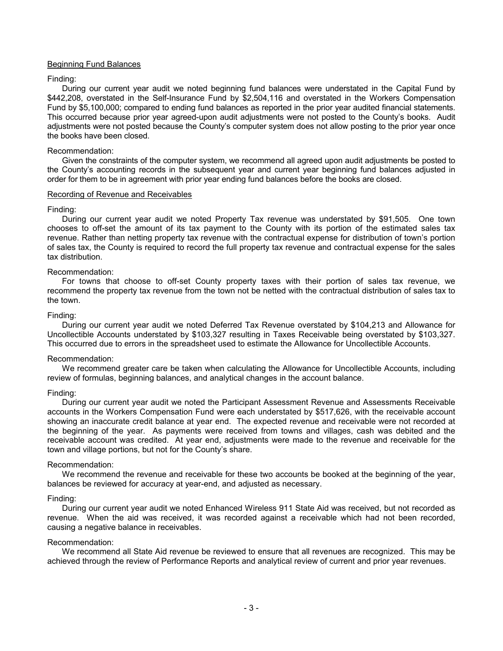# Beginning Fund Balances

# Finding:

During our current year audit we noted beginning fund balances were understated in the Capital Fund by \$442,208, overstated in the Self-Insurance Fund by \$2,504,116 and overstated in the Workers Compensation Fund by \$5,100,000; compared to ending fund balances as reported in the prior year audited financial statements. This occurred because prior year agreed-upon audit adjustments were not posted to the County's books. Audit adjustments were not posted because the County's computer system does not allow posting to the prior year once the books have been closed.

## Recommendation:

Given the constraints of the computer system, we recommend all agreed upon audit adjustments be posted to the County's accounting records in the subsequent year and current year beginning fund balances adjusted in order for them to be in agreement with prior year ending fund balances before the books are closed.

# Recording of Revenue and Receivables

## Finding:

During our current year audit we noted Property Tax revenue was understated by \$91,505. One town chooses to off-set the amount of its tax payment to the County with its portion of the estimated sales tax revenue. Rather than netting property tax revenue with the contractual expense for distribution of town's portion of sales tax, the County is required to record the full property tax revenue and contractual expense for the sales tax distribution.

# Recommendation:

For towns that choose to off-set County property taxes with their portion of sales tax revenue, we recommend the property tax revenue from the town not be netted with the contractual distribution of sales tax to the town.

## Finding:

During our current year audit we noted Deferred Tax Revenue overstated by \$104,213 and Allowance for Uncollectible Accounts understated by \$103,327 resulting in Taxes Receivable being overstated by \$103,327. This occurred due to errors in the spreadsheet used to estimate the Allowance for Uncollectible Accounts.

# Recommendation:

We recommend greater care be taken when calculating the Allowance for Uncollectible Accounts, including review of formulas, beginning balances, and analytical changes in the account balance.

# Finding:

During our current year audit we noted the Participant Assessment Revenue and Assessments Receivable accounts in the Workers Compensation Fund were each understated by \$517,626, with the receivable account showing an inaccurate credit balance at year end. The expected revenue and receivable were not recorded at the beginning of the year. As payments were received from towns and villages, cash was debited and the receivable account was credited. At year end, adjustments were made to the revenue and receivable for the town and village portions, but not for the County's share.

#### Recommendation:

We recommend the revenue and receivable for these two accounts be booked at the beginning of the year, balances be reviewed for accuracy at year-end, and adjusted as necessary.

# Finding:

During our current year audit we noted Enhanced Wireless 911 State Aid was received, but not recorded as revenue. When the aid was received, it was recorded against a receivable which had not been recorded, causing a negative balance in receivables.

# Recommendation:

We recommend all State Aid revenue be reviewed to ensure that all revenues are recognized. This may be achieved through the review of Performance Reports and analytical review of current and prior year revenues.